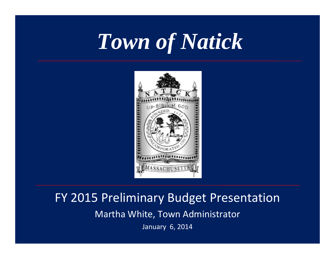## *Town of Natick*



#### FY 2015 Preliminary Budget Presentation

Mart h a W hite, Town A dministrator

January 6, 2014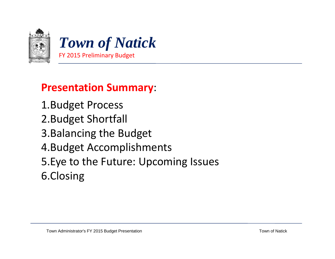



#### **Presentation Summary**:

1.Budget Process 2.Budget Shortfall 3.Balancing the Budget 4.Budget Accomplishments 5.Eye to the Future: Upcoming Issues 6.Closing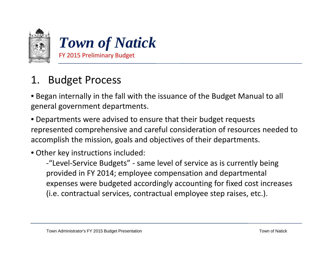

• Began internally in the fall with the issuance of the Budget Manual to all general government departments.

• Departments were advised to ensure that their budget requests represented comprehensive and careful consideration of resources needed to accomplish the mission, goals and objectives of their departments.

#### • Other key instructions included:

‐"Level‐Service Budgets" ‐ same level of service as is currently being provided in FY 2014; employee compensation and departmental expenses were budgeted accordingly accounting for fixed cost increases (i.e. contractual services, contractual employee step raises, etc.).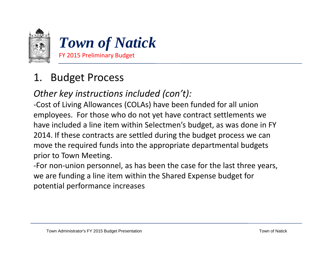

#### *Other key instructions included (con't):*

‐Cost of Living Allowances (COLAs) have been funded for all union employees. For those who do not yet have contract settlements we have included <sup>a</sup> line item within Selectmen's budget, as was done in FY 2014. If these contracts are settled during the budget process we can move the required funds into the appropriate departmental budgets prior to Town Meeting.

‐For non‐union personnel, as has been the case for the last three years, we are funding <sup>a</sup> line item within the Shared Expense budget for potential performance increases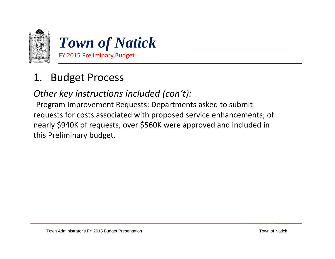

#### *Other key instructions included (con't):*

‐Program Improvement Requests: Departments asked to submit requests for costs associated with proposed service enhancements; of nearly \$940K of requests, over \$560K were approved and included in this Preliminary budget.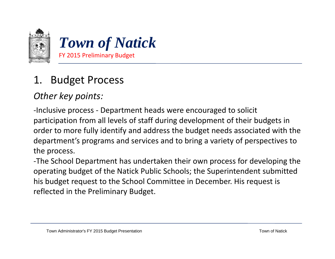

#### *Other key points:*

-Inclusive process - Department heads were encouraged to solicit participation from all levels of staff during development of their budgets in order to more fully identify and address the budget needs associated with the department's programs and services and to bring <sup>a</sup> variety of perspectives to the process.

‐The School Department has undertaken their own process for developing the operating budget of the Natick Public Schools; the Superintendent submitted his budget request to the School Committee in December. His request is reflected in the Preliminary Budget.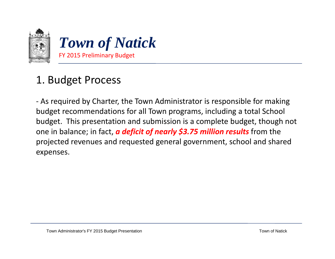

‐ As required by Charter, the Town Administrator is responsible for making budget recommendations for all Town programs, including a total School budget. This presentation and submission is <sup>a</sup> complete budget, though not one in balance; in fact, *<sup>a</sup> deficit of nearly \$3.75 million results* from the projected revenues and requested general government, school and shared expenses.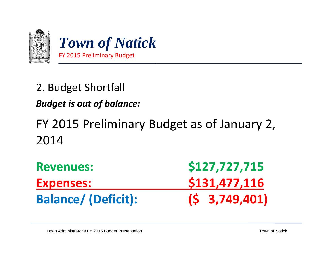

#### *Budget is out of balance:*

## FY 2015 Preliminary Budget as of January 2, 2014

| <b>Revenues:</b>           | \$127,727,715       |  |  |
|----------------------------|---------------------|--|--|
| <b>Expenses:</b>           | \$131,477,116       |  |  |
| <b>Balance/ (Deficit):</b> | $(5 \t3, 749, 401)$ |  |  |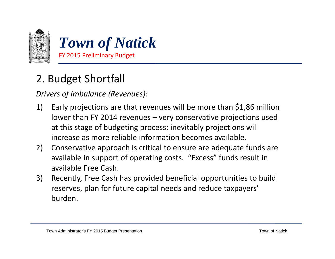

*Drivers of imbalance (Revenues):*

- 1) Early projections are that revenues will be more than \$1,86 million lower than FY 2014 revenues – very conservative projections used at this stage of budgeting process; inevitably projections will increase as more reliable information becomes available.
- 2) Conservative approach is critical to ensure are adequate funds are available in support of operating costs. "Excess" funds result in available Free Cash.
- 3) Recently, Free Cash has provided beneficial opportunities to build reserves, plan for future capital needs and reduce taxpayers' burden.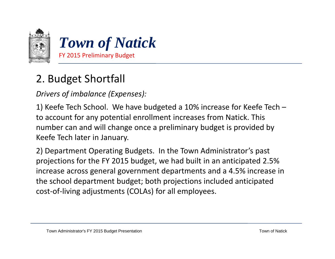

*Drivers of imbalance (Expenses):*

1) Keefe Tech School. We have budgeted <sup>a</sup> 10% increase for Keefe Tech – to account for any potential enrollment increases from Natick. This number can and will change once <sup>a</sup> preliminary budget is provided by Keefe Tech later in January.

2) Department Operating Budgets. In the Town Administrator's past projections for the FY 2015 budget, we had built in an anticipated 2.5% increase across general government departments and <sup>a</sup> 4.5% increase in the school department budget; both projections included anticipated cost‐of‐living adjustments (COLAs) for all employees.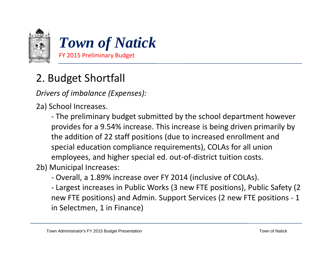

*Drivers of imbalance (Expenses):*

2a) School Increases.

‐ The preliminary budget submitted by the school department however provides for <sup>a</sup> 9.54% increase. This increase is being driven primarily by the addition of 22 staff positions (due to increased enrollment and special education compliance requirements), COLAs for all union employees, and higher special ed. out‐of‐district tuition costs.

2b) Municipal Increases:

- Overall, a 1.89% increase over FY 2014 (inclusive of COLAs).

‐ Largest increases in Public Works (3 new FTE positions), Public Safety (2 new FTE positions) and Admin. Support Services (2 new FTE positions ‐ 1 in Selectmen, 1 in Finance)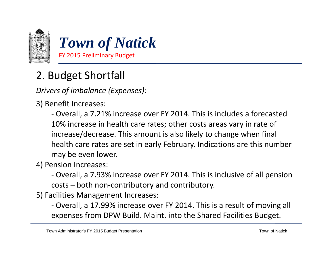

*Drivers of imbalance (Expenses):*

- 3) Benefit Increases:
	- Overall, a 7.21% increase over FY 2014. This is includes a forecasted 10% increase in health care rates; other costs areas vary in rate of increase/decrease. This amount is also likely to change when final health care rates are set in early February. Indications are this number may be even lower.
- 4) Pension Increases:
	- ‐ Overall, <sup>a</sup> 7.93% increase over FY 2014. This is inclusive of all pension costs – both non‐contributory and contributory.
- 5) Facilities Management Increases:
	- ‐ Overall, <sup>a</sup> 17.99% increase over FY 2014. This is <sup>a</sup> result of moving all expenses from DPW Build. Maint. into the Shared Facilities Budget.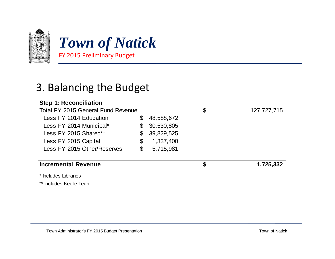

*Tow of atic n of Natick* FY 2015 Preliminary Budget

#### 3. Balancing the Budget

#### **Step 1: Reconciliation**

| Total FY 2015 General Fund Revenue |    |            | \$ | 127,727,715 |
|------------------------------------|----|------------|----|-------------|
| Less FY 2014 Education             | S  | 48,588,672 |    |             |
| Less FY 2014 Municipal*            | \$ | 30,530,805 |    |             |
| Less FY 2015 Shared**              | \$ | 39,829,525 |    |             |
| Less FY 2015 Capital               | \$ | 1,337,400  |    |             |
| Less FY 2015 Other/Reserves        | \$ | 5,715,981  |    |             |
| <b>Incremental Revenue</b>         |    |            | S  | 1,725,332   |

\* Includes Libraries

\*\* Includes Keefe Tech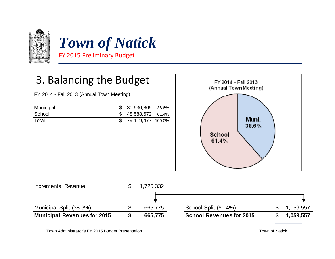

#### 3. Balancing the Budget

FY 2014 - Fall 2013 (Annual Town Meeting)

| Municipal | $$30,530,805$ 38.6%  |  |
|-----------|----------------------|--|
| School    | $$48,588,672$ 61.4%  |  |
| Total     | \$ 79,119,477 100.0% |  |





Town Administrator's FY 2015 Budget Presentation **Town CONSIDENTS** Town of Natick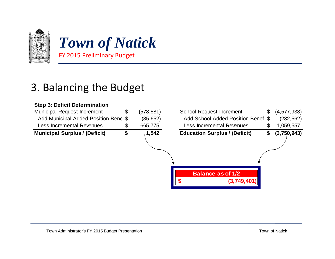

*Tow of atic n of Natick* FY 2015 Preliminary Budget

#### 3. Balancing the Budget

#### **Step 3: Deficit Determination**

| <b>Municipal Request Increment</b>   | \$<br>(578,581) | <b>School Request Increment</b>         | (4,577,938)<br>\$ |
|--------------------------------------|-----------------|-----------------------------------------|-------------------|
| Add Municipal Added Position Bene \$ | (85, 652)       | Add School Added Position Benefi \$     | (232, 562)        |
| <b>Less Incremental Revenues</b>     | \$<br>665,775   | <b>Less Incremental Revenues</b>        | 1,059,557<br>\$   |
| <b>Municipal Surplus / (Deficit)</b> | \$<br>1,542     | <b>Education Surplus / (Deficit)</b>    | (3,750,943)<br>\$ |
|                                      |                 |                                         |                   |
|                                      |                 | <b>Balance as of 1/2</b><br>(3,749,401) |                   |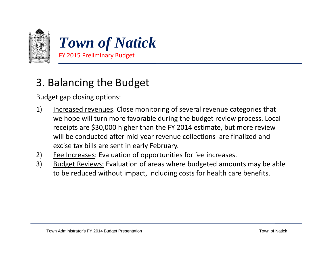

#### 3. Balancing the Budget

Budget gap closing options:

- 1) Increased revenues. Close monitoring of several revenue categories that we hope will turn more favorable during the budget review process. Local receipts are \$30,000 higher than the FY 2014 estimate, but more review will be conducted after mid‐year revenue collections are finalized and excise tax bills are sent in early February.
- 2) Fee Increases: Evaluation of opportunities for fee increases.
- 3) Budget Reviews: Evaluation of areas where budgeted amounts may be able to be reduced without impact, including costs for health care benefits.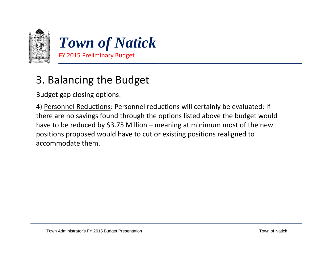

#### 3. Balancing the Budget

Budget gap closing options:

4) Personnel Reductions: Personnel reductions will certainly be evaluated; If there are no savings found through the options listed above the budget would have to be reduced by \$3.75 Million – meaning at minimum most of the new positions proposed would have to cut or existing positions realigned to accommodate them.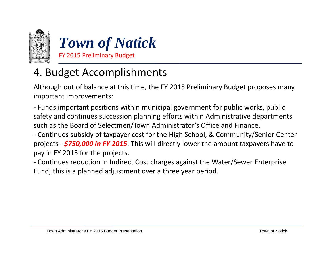



## 4. Budget Accomplishments

Although out of balance at this time, the FY 2015 Preliminary Budget proposes many important improvements:

‐ Funds important positions within municipal government for public works, public safety and continues succession planning efforts within Administrative departments such as the Board of Selectmen/Town Administrator's Office and Finance.

‐ Continues subsidy of taxpayer cost for the High School, & Community/Senior Center projects ‐ *\$750,000 in FY 2015*. This will directly lower the amount taxpayers have to pay in FY 2015 for the projects.

‐ Continues reduction in Indirect Cost charges against the Water/Sewer Enterprise Fund; this is <sup>a</sup> planned adjustment over <sup>a</sup> three year period.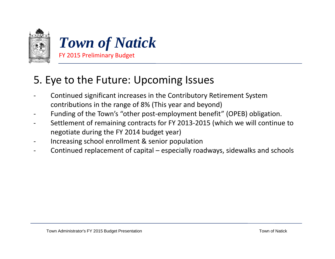



#### 5. Eye to the Future: Upcoming Issues

- ‐ Continued significant increases in the Contributory Retirement System contributions in the range of 8% (This year and beyond)
- ‐Funding of the Town's "other post-employment benefit" (OPEB) obligation.
- $\overline{\phantom{a}}$  Settlement of remaining contracts for FY 2013‐2015 (which we will continue to negotiate during the FY 2014 budget year)
- ‐Increasing school enrollment & senior population
- ‐Continued replacement of capital – especially roadways, sidewalks and schools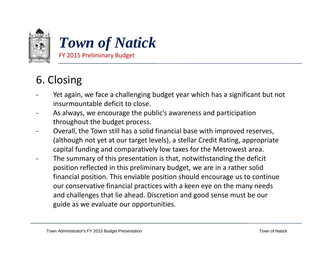



#### 6. Closing

- ‐ Yet again, we face <sup>a</sup> challenging budget year which has <sup>a</sup> significant but not insurmountable deficit to close.
- ‐- As always, we encourage the public's awareness and participation throughout the budget process.
- ‐ Overall, the Town still has <sup>a</sup> solid financial base with improved reserves, (although not yet at our target levels), <sup>a</sup> stellar Credit Rating, appropriate capital funding and comparatively low taxes for the Metrowest area.
- ‐ The summary of this presentation is that, notwithstanding the deficit position reflected in this preliminary budget, we are in <sup>a</sup> rather solid financial position. This enviable position should encourage us to continue our conservative financial practices with <sup>a</sup> keen eye on the many needs and challenges that lie ahead. Discretion and good sense must be our guide as we evaluate our opportunities.